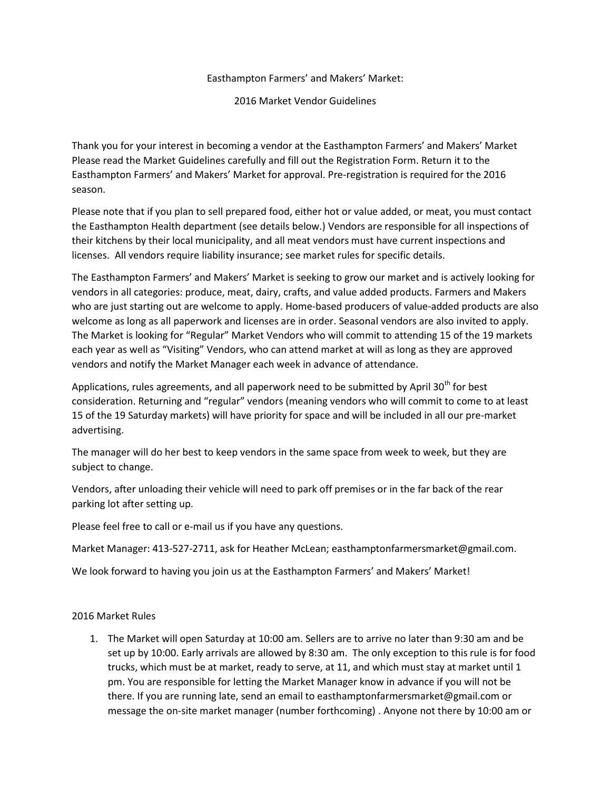## Easthampton Farmers' and Makers' Market:

2016 Market Vendor Guidelines

Thank you for your interest in becoming a vendor at the Easthampton Farmers' and Makers' Market Please read the Market Guidelines carefully and fill out the Registration Form. Return it to the Easthampton Farmers' and Makers' Market for approval. Pre-registration is required for the 2016 season.

Please note that if you plan to sell prepared food, either hot or value added, or meat, you must contact the Easthampton Health department (see details below.) Vendors are responsible for all inspections of their kitchens by their local municipality, and all meat vendors must have current inspections and licenses. All vendors require liability insurance; see market rules for specific details.

The Easthampton Farmers' and Makers' Market is seeking to grow our market and is actively looking for vendors in all categories: produce, meat, dairy, crafts, and value added products. Farmers and Makers who are just starting out are welcome to apply. Home-based producers of value-added products are also welcome as long as all paperwork and licenses are in order. Seasonal vendors are also invited to apply. The Market is looking for "Regular" Market Vendors who will commit to attending 15 of the 19 markets each year as well as "Visiting" Vendors, who can attend market at will as long as they are approved vendors and notify the Market Manager each week in advance of attendance.

Applications, rules agreements, and all paperwork need to be submitted by April 30<sup>th</sup> for best consideration. Returning and "regular" vendors (meaning vendors who will commit to come to at least 15 of the 19 Saturday markets) will have priority for space and will be included in all our pre-market advertising.

The manager will do her best to keep vendors in the same space from week to week, but they are subject to change.

Vendors, after unloading their vehicle will need to park off premises or in the far back of the rear parking lot after setting up.

Please feel free to call or e-mail us if you have any questions.

Market Manager: 413-527-2711, ask for Heather McLean; easthamptonfarmersmarket@gmail.com.

We look forward to having you join us at the Easthampton Farmers' and Makers' Market!

2016 Market Rules

1. The Market will open Saturday at 10:00 am. Sellers are to arrive no later than 9:30 am and be set up by 10:00. Early arrivals are allowed by 8:30 am. The only exception to this rule is for food trucks, which must be at market, ready to serve, at 11, and which must stay at market until 1 pm. You are responsible for letting the Market Manager know in advance if you will not be there. If you are running late, send an email to easthamptonfarmersmarket@gmail.com or message the on-site market manager (number forthcoming) . Anyone not there by 10:00 am or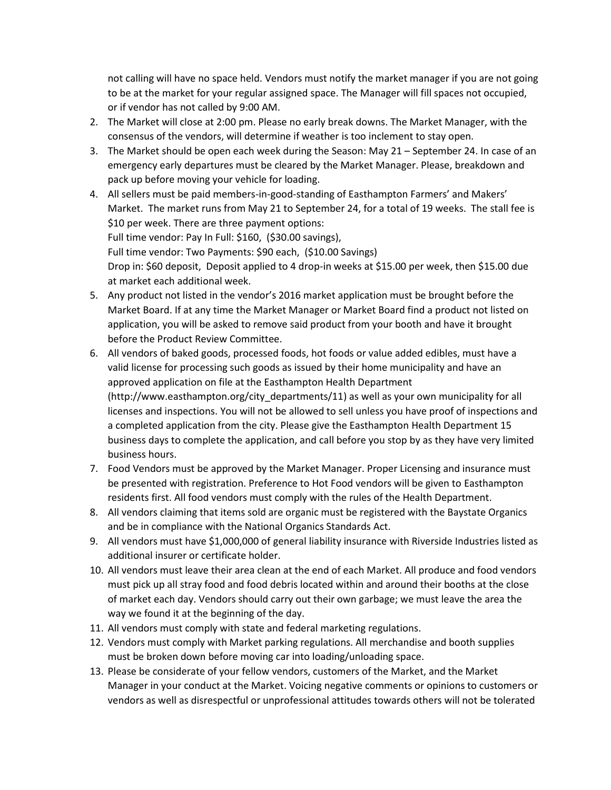not calling will have no space held. Vendors must notify the market manager if you are not going to be at the market for your regular assigned space. The Manager will fill spaces not occupied, or if vendor has not called by 9:00 AM.

- 2. The Market will close at 2:00 pm. Please no early break downs. The Market Manager, with the consensus of the vendors, will determine if weather is too inclement to stay open.
- 3. The Market should be open each week during the Season: May 21 September 24. In case of an emergency early departures must be cleared by the Market Manager. Please, breakdown and pack up before moving your vehicle for loading.
- 4. All sellers must be paid members-in-good-standing of Easthampton Farmers' and Makers' Market. The market runs from May 21 to September 24, for a total of 19 weeks. The stall fee is \$10 per week. There are three payment options: Full time vendor: Pay In Full: \$160, (\$30.00 savings), Full time vendor: Two Payments: \$90 each, (\$10.00 Savings) Drop in: \$60 deposit, Deposit applied to 4 drop-in weeks at \$15.00 per week, then \$15.00 due at market each additional week.
- 5. Any product not listed in the vendor's 2016 market application must be brought before the Market Board. If at any time the Market Manager or Market Board find a product not listed on application, you will be asked to remove said product from your booth and have it brought before the Product Review Committee.
- 6. All vendors of baked goods, processed foods, hot foods or value added edibles, must have a valid license for processing such goods as issued by their home municipality and have an approved application on file at the Easthampton Health Department (http://www.easthampton.org/city\_departments/11) as well as your own municipality for all licenses and inspections. You will not be allowed to sell unless you have proof of inspections and a completed application from the city. Please give the Easthampton Health Department 15 business days to complete the application, and call before you stop by as they have very limited business hours.
- 7. Food Vendors must be approved by the Market Manager. Proper Licensing and insurance must be presented with registration. Preference to Hot Food vendors will be given to Easthampton residents first. All food vendors must comply with the rules of the Health Department.
- 8. All vendors claiming that items sold are organic must be registered with the Baystate Organics and be in compliance with the National Organics Standards Act.
- 9. All vendors must have \$1,000,000 of general liability insurance with Riverside Industries listed as additional insurer or certificate holder.
- 10. All vendors must leave their area clean at the end of each Market. All produce and food vendors must pick up all stray food and food debris located within and around their booths at the close of market each day. Vendors should carry out their own garbage; we must leave the area the way we found it at the beginning of the day.
- 11. All vendors must comply with state and federal marketing regulations.
- 12. Vendors must comply with Market parking regulations. All merchandise and booth supplies must be broken down before moving car into loading/unloading space.
- 13. Please be considerate of your fellow vendors, customers of the Market, and the Market Manager in your conduct at the Market. Voicing negative comments or opinions to customers or vendors as well as disrespectful or unprofessional attitudes towards others will not be tolerated